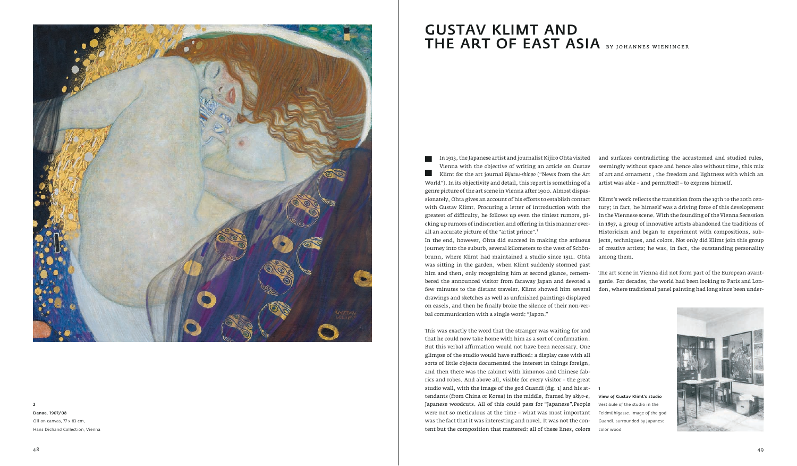

#### 2

Danae. 1907/ 08

Oil on canvas, 77 x 83 cm, Hans Dichand Collection, Vienna In 1913, the Japanese artist and journalist Kijiro Ohta visited<br>Vienna with the objective of writing an article on Gustav<br>Klimt for the art journal Bijutsu-shinpo ("News from the Art<br>World"). In its objectivity and detail, Vienna with the objective of writing an article on Gustav Klimt for the art journal *Bijutsu-shinpo* ("News from the Art World"). In its objectivity and detail, this report is something of a genre picture of the art scene in Vienna after 1900. Almost dispassionately, Ohta gives an account of his efforts to establish contact with Gustav Klimt. Procuring a letter of introduction with the greatest of difficulty, he follows up even the tiniest rumors, picking up rumors of indiscretion and offering in this manner overall an accurate picture of the "artist prince".<sup>1</sup> In the end, however, Ohta did succeed in making the arduous journey into the suburb, several kilometers to the west of Schönbrunn, where Klimt had maintained a studio since 1911. Ohta was sitting in the garden, when Klimt suddenly stormed past him and then, only recognizing him at second glance, remembered the announced visitor from faraway Japan and devoted a few minutes to the distant traveler. Klimt showed him several drawings and sketches as well as unfinished paintings displayed on easels, and then he finally broke the silence of their non-verbal communication with a single word: "Japon." and surfaces contradicting the accustomed and studied rules, seemingly without space and hence also without time, this mix of art and ornament , the freedom and lightness with which an artist was able – and permitted! – to express himself. Klimt's work reflects the transition from the 19th to the 20th century; in fact, he himself was a driving force of this development in the Viennese scene. With the founding of the Vienna Secession in 1897, a group of innovative artists abandoned the traditions of Historicism and began to experiment with compositions, subjects, techniques, and colors. Not only did Klimt join this group of creative artists; he was, in fact, the outstanding personality among them. The art scene in Vienna did not form part of the European avantgarde. For decades, the world had been looking to Paris and London, where traditional panel painting had long since been under-

This was exactly the word that the stranger was waiting for and that he could now take home with him as a sort of confirmation. But this verbal affirmation would not have been necessary. One glimpse of the studio would have sufficed: a display case with all sorts of little objects documented the interest in things foreign, and then there was the cabinet with kimonos and Chinese fabrics and robes. And above all, visible for every visitor – the great studio wall, with the image of the god Guandi (fig. 1) and his attendants (from China or Korea) in the middle, framed by *ukiyo-e*, Japanese woodcuts. All of this could pass for "Japanese".People were not so meticulous at the time – what was most important was the fact that it was interesting and novel. It was not the content but the composition that mattered: all of these lines, colors

1

View of Gustav Klimt's studio Vestibule of the studio in the Feldmühlgasse. Image of the god Guandi, surrounded by Japanese color wood



# GUSTAV KLIMT AND THE ART OF EAST ASIA by johannes wieninger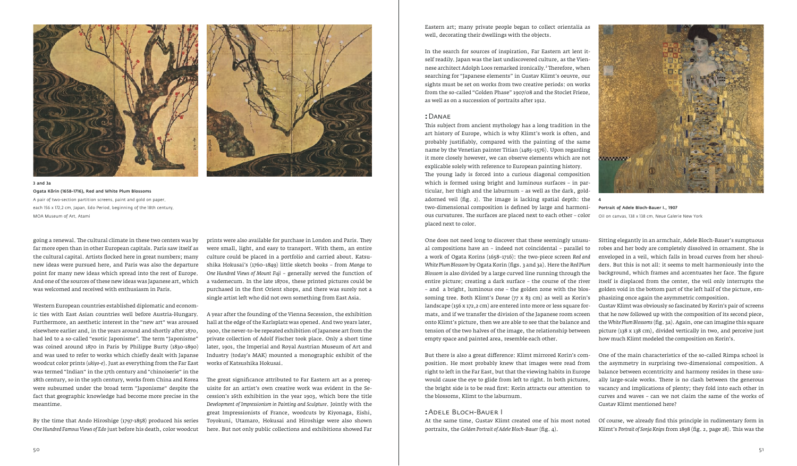Eastern art; many private people began to collect orientalia as well, decorating their dwellings with the objects.

In the search for sources of inspiration, Far Eastern art lent itself readily. Japan was the last undiscovered culture, as the Viennese architect Adolph Loos remarked ironically.² Therefore, when searching for "Japanese elements" in Gustav Klimt's oeuvre, our sights must be set on works from two creative periods: on works from the so-called "Golden Phase" 1907/08 and the Stoclet Frieze, as well as on a succession of portraits after 1912.

#### **:**Danae

This subject from ancient mythology has a long tradition in the art history of Europe, which is why Klimt's work is often, and probably justifiably, compared with the painting of the same name by the Venetian painter Titian (1485–1576). Upon regarding it more closely however, we can observe elements which are not explicable solely with reference to European painting history. The young lady is forced into a curious diagonal composition which is formed using bright and luminous surfaces – in particular, her thigh and the laburnum – as well as the dark, goldadorned veil (fig. 2). The image is lacking spatial depth: the 4 two-dimensional composition is defined by large and harmonious curvatures. The surfaces are placed next to each other – color placed next to color.

## **:**Adele Bloch-Bauer I

prints were also available for purchase in London and Paris. They were small, light, and easy to transport. With them, an entire culture could be placed in a portfolio and carried about. Katsushika Hokusai's (1760–1849) little sketch books – from *Manga* to *One Hundred Views of Mount Fuji* – generally served the function of a vademecum. In the late 1870s, these printed pictures could be purchased in the first Orient shops, and there was surely not a single artist left who did not own something from East Asia.

A year after the founding of the Vienna Secession, the exhibition hall at the edge of the Karlsplatz was opened. And two years later, 1900, the never-to-be repeated exhibition of Japanese art from the private collection of Adolf Fischer took place. Only a short time later, 1901, the Imperial and Royal Austrian Museum of Art and Industry (today's MAK) mounted a monographic exhibit of the works of Katsushika Hokusai.

The great significance attributed to Far Eastern art as a prerequisite for an artist's own creative work was evident in the Secession's 16th exhibition in the year 1903, which bore the title *Development of Impressionism in Painting and Sculpture*. Jointly with the great Impressionists of France, woodcuts by Kiyonaga, Eishi, Toyokuni, Utamaro, Hokusai and Hiroshige were also shown here. But not only public collections and exhibitions showed Far

One does not need long to discover that these seemingly unusual compositions have an – indeed not coincidental – parallel to a work of Ogata Korins (1658–1716): the two-piece screen *Red and White Plum Blossom* by Ogata Korin (figs. 3 and 3a). Here the *Red Plum Blossom* is also divided by a large curved line running through the entire picture; creating a dark surface – the course of the river – and a bright, luminous one – the golden zone with the blossoming tree. Both Klimt's *Danae* (77 x 83 cm) as well as Korin's landscape (156 x 172,2 cm) are entered into more or less square formats, and if we transfer the division of the Japanese room screen onto Klimt's picture, then we are able to see that the balance and tension of the two halves of the image, the relationship between empty space and painted area, resemble each other. Sitting elegantly in an armchair, Adele Bloch-Bauer's sumptuous robes and her body are completely dissolved in ornament. She is enveloped in a veil, which falls in broad curves from her shoulders. But this is not all: it seems to melt harmoniously into the background, which frames and accentuates her face. The figure itself is displaced from the center, the veil only interrupts the golden void in the bottom part of the left half of the picture, emphasizing once again the asymmetric composition. Gustav Klimt was obviously so fascinated by Korin's pair of screens that he now followed up with the composition of its second piece, the *White Plum Blossoms* (fig. 3a). Again, one can imagine this square picture (138 x 138 cm), divided vertically in two, and perceive just how much Klimt modeled the composition on Korin's.





### 3 and 3a

Ogata Kôrin (1658–1716), Red and White Plum Blossoms A pair of two-section partition screens, paint and gold on paper, each 156 x 172,2 cm, Japan, Edo Period, beginning of the 18th century, MOA Museum of Art, Atami

going a renewal. The cultural climate in these two centers was by far more open than in other European capitals. Paris saw itself as the cultural capital. Artists flocked here in great numbers; many new ideas were pursued here, and Paris was also the departure point for many new ideas which spread into the rest of Europe. And one of the sources of these new ideas was Japanese art, which was welcomed and received with enthusiasm in Paris.

> But there is also a great difference: Klimt mirrored Korin's composition. He most probably knew that images were read from right to left in the Far East, but that the viewing habits in Europe would cause the eye to glide from left to right. In both pictures, the bright side is to be read first: Korin attracts our attention to the blossoms, Klimt to the laburnum. One of the main characteristics of the so-called Rimpa school is the asymmetry in surprising two-dimensional composition. A balance between eccentricity and harmony resides in these usually large-scale works. There is no clash between the generous vacancy and implications of plenty; they fold into each other in curves and waves – can we not claim the same of the works of Gustav Klimt mentioned here?

> At the same time, Gustav Klimt created one of his most noted portraits, the *Golden Portrait of Adele Bloch-Bauer* (fig. 4). Of course, we already find this principle in rudimentary form in Klimt's *Portrait of Sonja Knips* from 1898 (fig. 2, page 28). This was the

Western European countries established diplomatic and economic ties with East Asian countries well before Austria-Hungary. Furthermore, an aesthetic interest in the "new art" was aroused elsewhere earlier and, in the years around and shortly after 1870, had led to a so-called "exotic Japonisme". The term "Japonisme" was coined around 1870 in Paris by Philippe Burty (1830-1890) and was used to refer to works which chiefly dealt with Japanse woodcut color prints (*ukiyo-e*). Just as everything from the Far East was termed "Indian" in the 17th century and "chinoiserie" in the 18th century, so in the 19th century, works from China and Korea were subsumed under the broad term "Japonisme" despite the fact that geographic knowledge had become more precise in the meantime.

By the time that Ando Hiroshige (1797-1858) produced his series *One Hundred Famous Views of Edo* just before his death, color woodcut



Portrait of Adele Bloch-Bauer I., 1907 Oil on canvas, 138 x 138 cm, Neue Galerie New York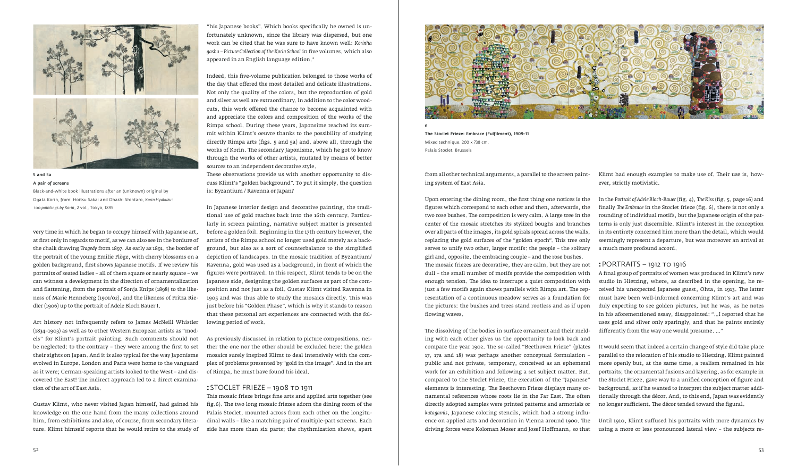from all other technical arguments, a parallel to the screen painting system of East Asia.

"his Japanese books". Which books specifically he owned is unfortunately unknown, since the library was dispersed, but one work can be cited that he was sure to have known well: *Korinha gashu – Picture Collection of the Korin School* in five volumes, which also appeared in an English language edition.<sup>3</sup>



The Stoclet Frieze: Embrace (Fulfilment), 1909–11 Mixed technique, 200 x 738 cm, Palais Stoclet, Brussels

very time in which he began to occupy himself with Japanese art, at first only in regards to motif, as we can also see in the bordure of the chalk drawing *Tragedy* from 1897. As early as 1891, the border of the portrait of the young Emilie Flöge, with cherry blossoms on a golden background, first shows Japanese motifs. If we review his portraits of seated ladies – all of them square or nearly square – we can witness a development in the direction of ornamentalization and flattening, from the portrait of Sonja Knips (1898) to the likeness of Marie Henneberg (1901/02), and the likeness of Fritza Riedler (1906) up to the portrait of Adele Bloch Bauer I.

Art history not infrequently refers to James McNeill Whistler (1834–1903) as well as to other Western European artists as "models" for Klimt's portrait painting. Such comments should not be neglected: to the contrary – they were among the first to set their sights on Japan. And it is also typical for the way Japonisme evolved in Europe. London and Paris were home to the vanguard as it were; German-speaking artists looked to the West – and discovered the East! The indirect approach led to a direct examination of the art of East Asia.

Gustav Klimt, who never visited Japan himself, had gained his knowledge on the one hand from the many collections around him, from exhibitions and also, of course, from secondary literature. Klimt himself reports that he would retire to the study of

Upon entering the dining room, the first thing one notices is the figures which correspond to each other and then, afterwards, the two rose bushes. The composition is very calm. A large tree in the center of the mosaic stretches its stylized boughs and branches over all parts of the images, its gold spirals spread across the walls, replacing the gold surfaces of the "golden epoch". This tree only serves to unify two other, larger motifs: the people – the solitary girl and, opposite, the embracing couple – and the rose bushes. The mosaic friezes are decorative, they are calm, but they are not dull – the small number of motifs provide the composition with enough tension. The idea to interrupt a quiet composition with just a few motifs again shows parallels with Rimpa art. The representation of a continuous meadow serves as a foundation for the pictures: the bushes and trees stand rootless and as if upon flowing waves. The dissolving of the bodies in surface ornament and their meld-In the *Portrait of Adele Bloch-Bauer* (fig. 4), *The Kiss* (fig. 5, page 16) and finally *The Embrace* in the Stoclet frieze (fig. 6), there is not only a rounding of individual motifs, but the Japanese origin of the patterns is only just discernible. Klimt's interest in the conception in its entirety concerned him more than the detail, which would seemingly represent a departure, but was moreover an arrival at a much more profound accord. **:**PORTRAITS – 1912 to 1916 A final group of portraits of women was produced in Klimt's new studio in Hietzing, where, as described in the opening, he received his unexpected Japanese guest, Ohta, in 1913. The latter must have been well-informed concerning Klimt's art and was duly expecting to see golden pictures, but he was, as he notes in his aforementioned essay, disappointed: "…I reported that he uses gold and silver only sparingly, and that he paints entirely differently from the way one would presume. …"

Indeed, this five-volume publication belonged to those works of the day that offered the most detailed and delicate illustrations. Not only the quality of the colors, but the reproduction of gold and silver as well are extraordinary. In addition to the color woodcuts, this work offered the chance to become acquainted with and appreciate the colors and composition of the works of the Rimpa school. During these years, Japonsime reached its summit within Klimt's oeuvre thanks to the possibility of studying directly Rimpa arts (figs. 5 and 5a) and, above all, through the works of Korin. The secondary Japonisme, which he got to know through the works of other artists, mutated by means of better sources to an independent decorative style.

> ing with each other gives us the opportunity to look back and compare the year 1902. The so-called "Beethoven Frieze" (plates 17, 17a and 18) was perhaps another conceptual formulation – public and not private, temporary, conceived as an ephemeral work for an exhibition and following a set subject matter. But, compared to the Stoclet Frieze, the execution of the "Japanese" elements is interesting. The Beethoven Frieze displays many ornamental references whose roots lie in the Far East. The often directly adopted samples were printed patterns and armorials or *katagamis*, Japanese coloring stencils, which had a strong influence on applied arts and decoration in Vienna around 1900. The driving forces were Koloman Moser and Josef Hoffmann, so that It would seem that indeed a certain change of style did take place parallel to the relocation of his studio to Hietzing. Klimt painted more openly but, at the same time, a realism remained in his portraits; the ornamental fusions and layering, as for example in the Stoclet Frieze, gave way to a unified conception of figure and background, as if he wanted to interpret the subject matter additionally through the décor. And, to this end, Japan was evidently no longer sufficient. The décor tended toward the figural. Until 1910, Klimt suffused his portraits with more dynamics by using a more or less pronounced lateral view – the subjects re-

These observations provide us with another opportunity to discuss Klimt's "golden background". To put it simply, the question is: Byzantium / Ravenna or Japan?

In Japanese interior design and decorative painting, the traditional use of gold reaches back into the 16th century. Particularly in screen painting, narrative subject matter is presented before a golden foil. Beginning in the 17th century however, the artists of the Rimpa school no longer used gold merely as a background, but also as a sort of counterbalance to the simplified depiction of landscapes. In the mosaic tradition of Byzantium/ Ravenna, gold was used as a background, in front of which the figures were portrayed. In this respect, Klimt tends to be on the Japanese side, designing the golden surfaces as part of the composition and not just as a foil. Gustav Klimt visited Ravenna in 1905 and was thus able to study the mosaics directly. This was just before his "Golden Phase", which is why it stands to reason that these personal art experiences are connected with the following period of work.

As previously discussed in relation to picture compositions, neither the one nor the other should be excluded here: the golden mosaics surely inspired Klimt to deal intensively with the complex of problems presented by "gold in the image". And in the art of Rimpa, he must have found his ideal.

#### **:**STOCLET FRIEZE – 1908 to 1911

This mosaic frieze brings fine arts and applied arts together (see fig.6). The two long mosaic friezes adorn the dining room of the Palais Stoclet, mounted across from each other on the longitudinal walls – like a matching pair of multiple-part screens. Each side has more than six parts; the rhythmization shows, apart Klimt had enough examples to make use of. Their use is, however, strictly motivistic.



5 and 5a A pair of screens

Black-and-white book illustrations after an (unknown) original by Ogata Korin, from: Hoitsu Sakai and Ohashi Shintaro, *Korin Hyakuzu: 100 paintings by Korin*, 2 vol., Tokyo, 1895